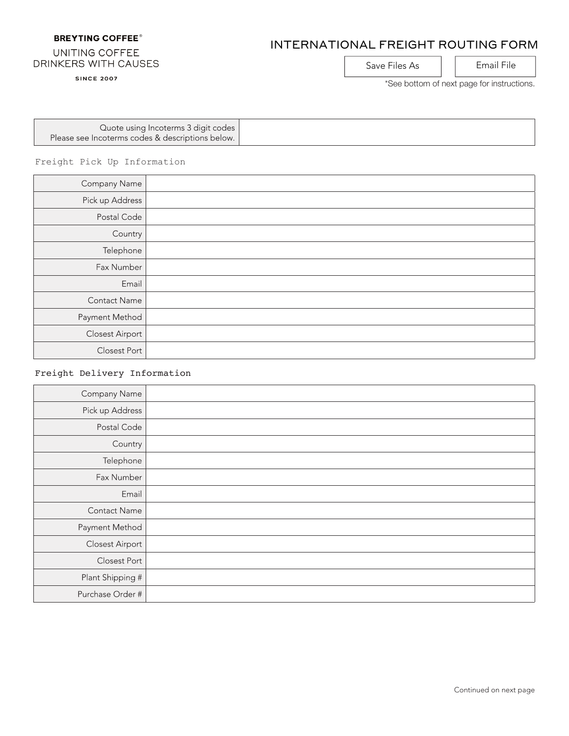# **BREYTING COFFEE®**

# INTERNATIONAL FREIGHT ROUTING FORM

# UNITING COFFEE DRINKERS WITH CAUSES

**SINCE 2007** 

Save Files As | | Email File

\*See bottom of next page for instructions.

| Quote using Incoterms 3 digit codes              |  |
|--------------------------------------------------|--|
| Please see Incoterms codes & descriptions below. |  |

Freight Pick Up Information

| Company Name        |  |
|---------------------|--|
| Pick up Address     |  |
| Postal Code         |  |
| Country             |  |
| Telephone           |  |
| Fax Number          |  |
| Email               |  |
| <b>Contact Name</b> |  |
| Payment Method      |  |
| Closest Airport     |  |
| Closest Port        |  |

# Freight Delivery Information

| Company Name           |  |
|------------------------|--|
| Pick up Address        |  |
| Postal Code            |  |
| Country                |  |
| Telephone              |  |
| Fax Number             |  |
| Email                  |  |
| Contact Name           |  |
| Payment Method         |  |
| <b>Closest Airport</b> |  |
| Closest Port           |  |
| Plant Shipping #       |  |
| Purchase Order #       |  |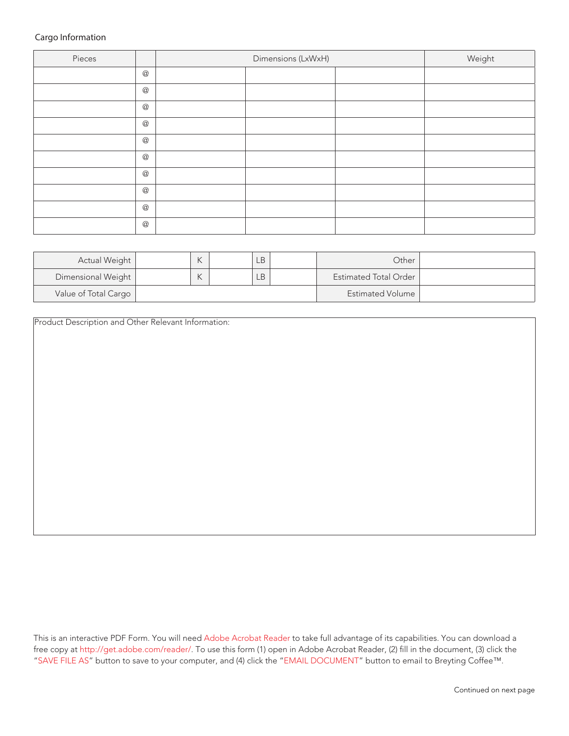# Cargo Information

| Pieces |               | Dimensions (LxWxH) |  |  | Weight |
|--------|---------------|--------------------|--|--|--------|
|        | $^\copyright$ |                    |  |  |        |
|        | $^\copyright$ |                    |  |  |        |
|        | $^\copyright$ |                    |  |  |        |
|        | $^\copyright$ |                    |  |  |        |
|        | $^\copyright$ |                    |  |  |        |
|        | $^\copyright$ |                    |  |  |        |
|        | $^\copyright$ |                    |  |  |        |
|        | $^\copyright$ |                    |  |  |        |
|        | $^\copyright$ |                    |  |  |        |
|        | $^\copyright$ |                    |  |  |        |

| Actual Weight        | $\sqrt{ }$ | LB. | Other.                       |  |
|----------------------|------------|-----|------------------------------|--|
| Dimensional Weight   | $\sqrt{ }$ | LВ  | <b>Estimated Total Order</b> |  |
| Value of Total Cargo |            |     | Estimated Volume             |  |

Product Description and Other Relevant Information:

This is an interactive PDF Form. You will need Adobe Acrobat Reader to take full advantage of its capabilities. You can download a free copy at http://get.adobe.com/reader/. To use this form (1) open in Adobe Acrobat Reader, (2) fill in the document, (3) click the "SAVE FILE AS" button to save to your computer, and (4) click the "EMAIL DOCUMENT" button to email to Breyting Coffee™.